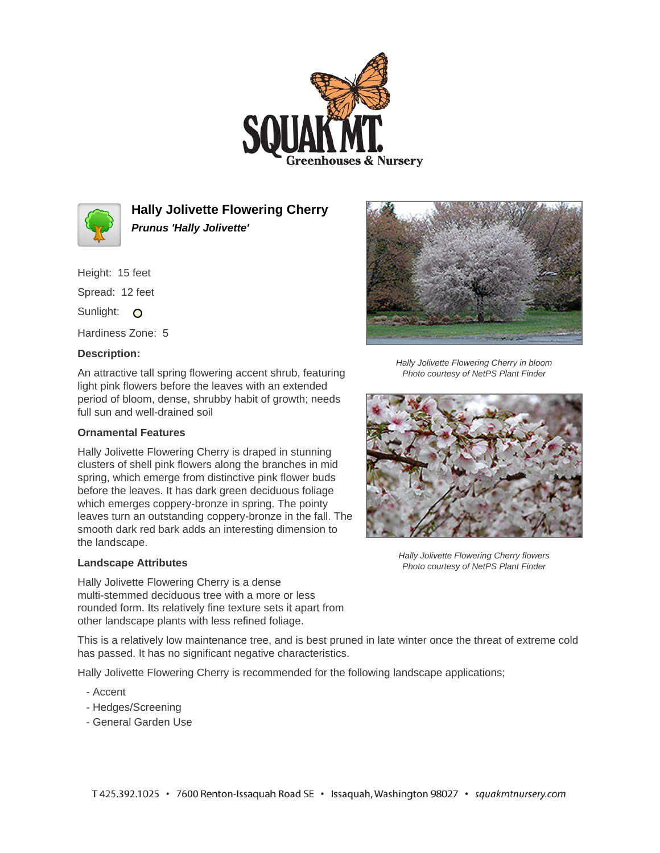



**Hally Jolivette Flowering Cherry Prunus 'Hally Jolivette'**

Height: 15 feet Spread: 12 feet Sunlight: O Hardiness Zone: 5

## **Description:**

An attractive tall spring flowering accent shrub, featuring light pink flowers before the leaves with an extended period of bloom, dense, shrubby habit of growth; needs full sun and well-drained soil

## **Ornamental Features**

Hally Jolivette Flowering Cherry is draped in stunning clusters of shell pink flowers along the branches in mid spring, which emerge from distinctive pink flower buds before the leaves. It has dark green deciduous foliage which emerges coppery-bronze in spring. The pointy leaves turn an outstanding coppery-bronze in the fall. The smooth dark red bark adds an interesting dimension to the landscape.

## **Landscape Attributes**

Hally Jolivette Flowering Cherry is a dense multi-stemmed deciduous tree with a more or less rounded form. Its relatively fine texture sets it apart from other landscape plants with less refined foliage.

Hally Jolivette Flowering Cherry in bloom Photo courtesy of NetPS Plant Finder



Hally Jolivette Flowering Cherry flowers Photo courtesy of NetPS Plant Finder

This is a relatively low maintenance tree, and is best pruned in late winter once the threat of extreme cold has passed. It has no significant negative characteristics.

Hally Jolivette Flowering Cherry is recommended for the following landscape applications;

- Accent
- Hedges/Screening
- General Garden Use